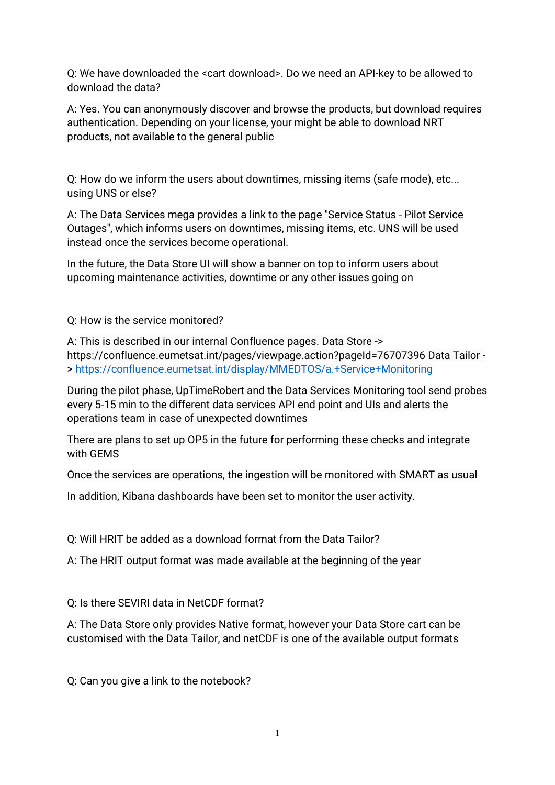Q: We have downloaded the <cart download>. Do we need an API-key to be allowed to download the data?

A: Yes. You can anonymously discover and browse the products, but download requires authentication. Depending on your license, your might be able to download NRT products, not available to the general public

Q: How do we inform the users about downtimes, missing items (safe mode), etc... using UNS or else?

A: The Data Services mega provides a link to the page "Service Status - Pilot Service Outages", which informs users on downtimes, missing items, etc. UNS will be used instead once the services become operational.

In the future, the Data Store UI will show a banner on top to inform users about upcoming maintenance activities, downtime or any other issues going on

Q: How is the service monitored?

A: This is described in our internal Confluence pages. Data Store -> https://confluence.eumetsat.int/pages/viewpage.action?pageId=76707396 Data Tailor - ><https://confluence.eumetsat.int/display/MMEDTOS/a.+Service+Monitoring>

During the pilot phase, UpTimeRobert and the Data Services Monitoring tool send probes every 5-15 min to the different data services API end point and UIs and alerts the operations team in case of unexpected downtimes

There are plans to set up OP5 in the future for performing these checks and integrate with GEMS

Once the services are operations, the ingestion will be monitored with SMART as usual

In addition, Kibana dashboards have been set to monitor the user activity.

Q: Will HRIT be added as a download format from the Data Tailor?

A: The HRIT output format was made available at the beginning of the year

Q: Is there SEVIRI data in NetCDF format?

A: The Data Store only provides Native format, however your Data Store cart can be customised with the Data Tailor, and netCDF is one of the available output formats

Q: Can you give a link to the notebook?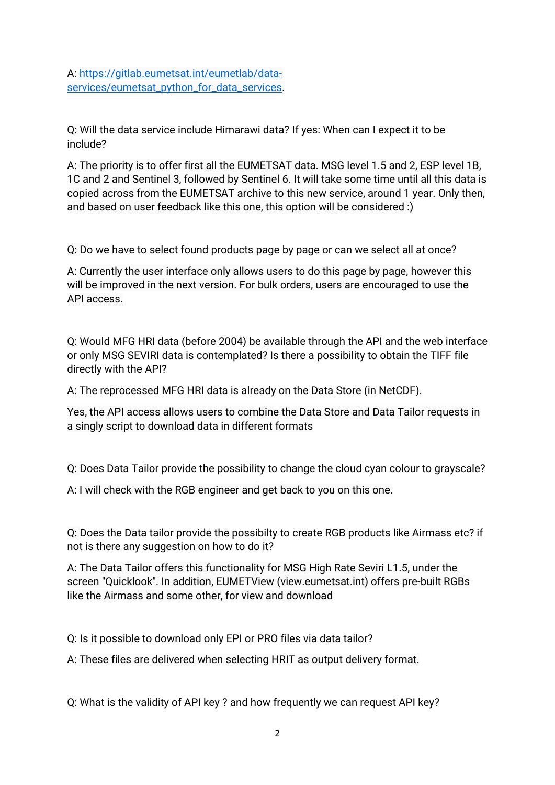A: [https://gitlab.eumetsat.int/eumetlab/data](https://gitlab.eumetsat.int/eumetlab/data-services/eumetsat_python_for_data_services)[services/eumetsat\\_python\\_for\\_data\\_services.](https://gitlab.eumetsat.int/eumetlab/data-services/eumetsat_python_for_data_services)

Q: Will the data service include Himarawi data? If yes: When can I expect it to be include?

A: The priority is to offer first all the EUMETSAT data. MSG level 1.5 and 2, ESP level 1B, 1C and 2 and Sentinel 3, followed by Sentinel 6. It will take some time until all this data is copied across from the EUMETSAT archive to this new service, around 1 year. Only then, and based on user feedback like this one, this option will be considered :)

Q: Do we have to select found products page by page or can we select all at once?

A: Currently the user interface only allows users to do this page by page, however this will be improved in the next version. For bulk orders, users are encouraged to use the API access.

Q: Would MFG HRI data (before 2004) be available through the API and the web interface or only MSG SEVIRI data is contemplated? Is there a possibility to obtain the TIFF file directly with the API?

A: The reprocessed MFG HRI data is already on the Data Store (in NetCDF).

Yes, the API access allows users to combine the Data Store and Data Tailor requests in a singly script to download data in different formats

Q: Does Data Tailor provide the possibility to change the cloud cyan colour to grayscale?

A: I will check with the RGB engineer and get back to you on this one.

Q: Does the Data tailor provide the possibilty to create RGB products like Airmass etc? if not is there any suggestion on how to do it?

A: The Data Tailor offers this functionality for MSG High Rate Seviri L1.5, under the screen "Quicklook". In addition, EUMETView (view.eumetsat.int) offers pre-built RGBs like the Airmass and some other, for view and download

Q: Is it possible to download only EPI or PRO files via data tailor?

A: These files are delivered when selecting HRIT as output delivery format.

Q: What is the validity of API key ? and how frequently we can request API key?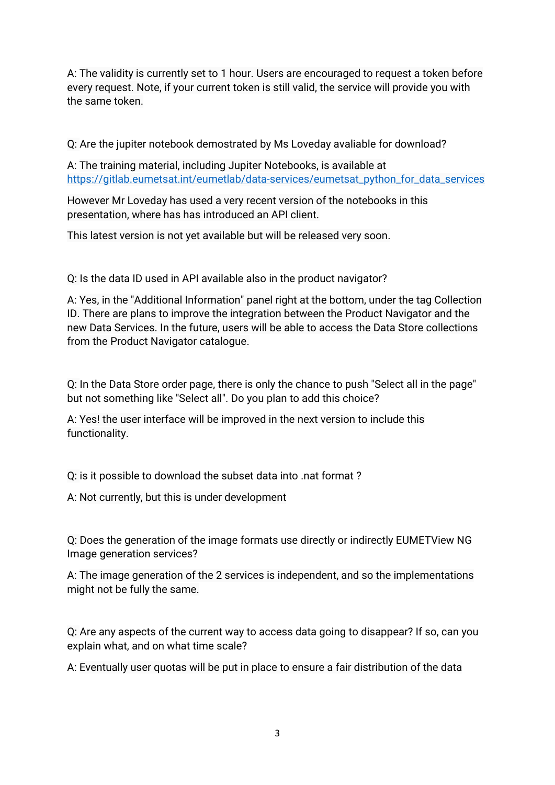A: The validity is currently set to 1 hour. Users are encouraged to request a token before every request. Note, if your current token is still valid, the service will provide you with the same token.

Q: Are the jupiter notebook demostrated by Ms Loveday avaliable for download?

A: The training material, including Jupiter Notebooks, is available at [https://gitlab.eumetsat.int/eumetlab/data-services/eumetsat\\_python\\_for\\_data\\_services](https://gitlab.eumetsat.int/eumetlab/data-services/eumetsat_python_for_data_services)

However Mr Loveday has used a very recent version of the notebooks in this presentation, where has has introduced an API client.

This latest version is not yet available but will be released very soon.

Q: Is the data ID used in API available also in the product navigator?

A: Yes, in the "Additional Information" panel right at the bottom, under the tag Collection ID. There are plans to improve the integration between the Product Navigator and the new Data Services. In the future, users will be able to access the Data Store collections from the Product Navigator catalogue.

Q: In the Data Store order page, there is only the chance to push "Select all in the page" but not something like "Select all". Do you plan to add this choice?

A: Yes! the user interface will be improved in the next version to include this functionality.

Q: is it possible to download the subset data into .nat format ?

A: Not currently, but this is under development

Q: Does the generation of the image formats use directly or indirectly EUMETView NG Image generation services?

A: The image generation of the 2 services is independent, and so the implementations might not be fully the same.

Q: Are any aspects of the current way to access data going to disappear? If so, can you explain what, and on what time scale?

A: Eventually user quotas will be put in place to ensure a fair distribution of the data